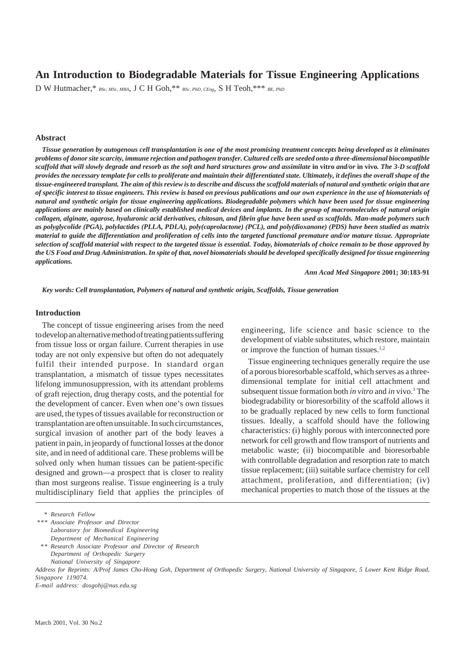# **An Introduction to Biodegradable Materials for Tissue Engineering Applications**

D W Hutmacher,\* *BSc, MSc, MBA*, J C H Goh,\*\* *BSc, PhD, CEng*, S H Teoh,\*\*\* *BE, PhD*

#### **Abstract**

*Tissue generation by autogenous cell transplantation is one of the most promising treatment concepts being developed as it eliminates problems of donor site scarcity, immune rejection and pathogen transfer. Cultured cells are seeded onto a three-dimensional biocompatible scaffold that will slowly degrade and resorb as the soft and hard structures grow and assimilate* **in vitro** *and/or* **in vivo***. The 3-D scaffold provides the necessary template for cells to proliferate and maintain their differentiated state. Ultimately, it defines the overall shape of the tissue-engineered transplant. The aim of this review is to describe and discuss the scaffold materials of natural and synthetic origin that are of specific interest to tissue engineers. This review is based on previous publications and our own experience in the use of biomaterials of natural and synthetic origin for tissue engineering applications. Biodegradable polymers which have been used for tissue engineering applications are mainly based on clinically established medical devices and implants. In the group of macromolecules of natural origin collagen, alginate, agarose, hyaluronic acid derivatives, chitosan, and fibrin glue have been used as scaffolds. Man-made polymers such as polyglycolide (PGA), polylactides (PLLA, PDLA), poly(caprolactone) (PCL), and poly(dioxanone) (PDS) have been studied as matrix material to guide the differentiation and proliferation of cells into the targeted functional premature and/or mature tissue. Appropriate selection of scaffold material with respect to the targeted tissue is essential. Today, biomaterials of choice remain to be those approved by the US Food and Drug Administration. In spite of that, novel biomaterials should be developed specifically designed for tissue engineering applications.*

*Ann Acad Med Singapore* **2001; 30:183-91**

*Key words: Cell transplantation, Polymers of natural and synthetic origin, Scaffolds, Tissue generation*

#### **Introduction**

The concept of tissue engineering arises from the need to develop an alternative method of treating patients suffering from tissue loss or organ failure. Current therapies in use today are not only expensive but often do not adequately fulfil their intended purpose. In standard organ transplantation, a mismatch of tissue types necessitates lifelong immunosuppression, with its attendant problems of graft rejection, drug therapy costs, and the potential for the development of cancer. Even when one's own tissues are used, the types of tissues available for reconstruction or transplantation are often unsuitable. In such circumstances, surgical invasion of another part of the body leaves a patient in pain, in jeopardy of functional losses at the donor site, and in need of additional care. These problems will be solved only when human tissues can be patient-specific designed and grown—a prospect that is closer to reality than most surgeons realise. Tissue engineering is a truly multidisciplinary field that applies the principles of

engineering, life science and basic science to the development of viable substitutes, which restore, maintain or improve the function of human tissues.<sup>1,2</sup>

Tissue engineering techniques generally require the use of a porous bioresorbable scaffold, which serves as a threedimensional template for initial cell attachment and subsequent tissue formation both *in vitro* and *in* vivo.3 The biodegradability or bioresorbility of the scaffold allows it to be gradually replaced by new cells to form functional tissues. Ideally, a scaffold should have the following characteristics: (i) highly porous with interconnected pore network for cell growth and flow transport of nutrients and metabolic waste; (ii) biocompatible and bioresorbable with controllable degradation and resorption rate to match tissue replacement; (iii) suitable surface chemistry for cell attachment, proliferation, and differentiation; (iv) mechanical properties to match those of the tissues at the

*<sup>\*</sup> Research Fellow*

*<sup>\*\*\*</sup> Associate Professor and Director Laboratory for Biomedical Engineering Department of Mechanical Engineering*

*<sup>\* \*</sup> Research Associate Professor and Director of Research Department of Orthopedic Surgery*

*National University of Singapore*

*Address for Reprints: A/Prof James Cho-Hong Goh, Department of Orthopedic Surgery, National University of Singapore, 5 Lower Kent Ridge Road, Singapore 119074.*

*E-mail address: dosgohj@nus.edu.sg*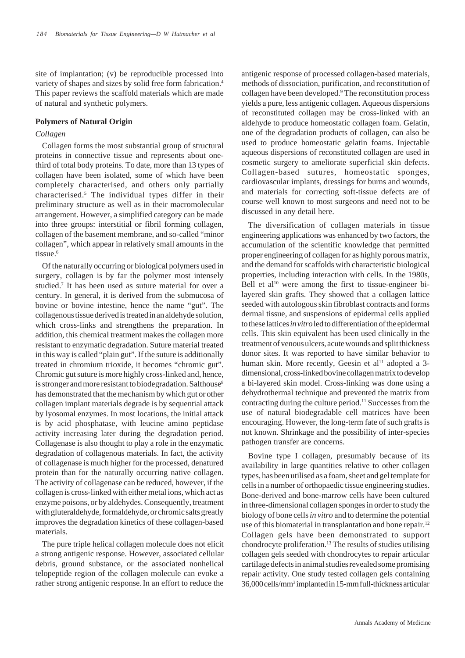site of implantation; (v) be reproducible processed into variety of shapes and sizes by solid free form fabrication.4 This paper reviews the scaffold materials which are made of natural and synthetic polymers.

#### **Polymers of Natural Origin**

### *Collagen*

Collagen forms the most substantial group of structural proteins in connective tissue and represents about onethird of total body proteins. To date, more than 13 types of collagen have been isolated, some of which have been completely characterised, and others only partially characterised.5 The individual types differ in their preliminary structure as well as in their macromolecular arrangement. However, a simplified category can be made into three groups: interstitial or fibril forming collagen, collagen of the basement membrane, and so-called "minor collagen", which appear in relatively small amounts in the tissue.<sup>6</sup>

Of the naturally occurring or biological polymers used in surgery, collagen is by far the polymer most intensely studied.7 It has been used as suture material for over a century. In general, it is derived from the submucosa of bovine or bovine intestine, hence the name "gut". The collagenous tissue derived is treated in an aldehyde solution, which cross-links and strengthens the preparation. In addition, this chemical treatment makes the collagen more resistant to enzymatic degradation. Suture material treated in this way is called "plain gut". If the suture is additionally treated in chromium trioxide, it becomes "chromic gut". Chromic gut suture is more highly cross-linked and, hence, is stronger and more resistant to biodegradation. Salthouse<sup>8</sup> has demonstrated that the mechanism by which gut or other collagen implant materials degrade is by sequential attack by lyosomal enzymes. In most locations, the initial attack is by acid phosphatase, with leucine amino peptidase activity increasing later during the degradation period. Collagenase is also thought to play a role in the enzymatic degradation of collagenous materials. In fact, the activity of collagenase is much higher for the processed, denatured protein than for the naturally occurring native collagen. The activity of collagenase can be reduced, however, if the collagen is cross-linked with either metal ions, which act as enzyme poisons, or by aldehydes. Consequently, treatment with gluteraldehyde, formaldehyde, or chromic salts greatly improves the degradation kinetics of these collagen-based materials.

The pure triple helical collagen molecule does not elicit a strong antigenic response. However, associated cellular debris, ground substance, or the associated nonhelical telopeptide region of the collagen molecule can evoke a rather strong antigenic response.In an effort to reduce the antigenic response of processed collagen-based materials, methods of dissociation, purification, and reconstitution of collagen have been developed.9 The reconstitution process yields a pure, less antigenic collagen. Aqueous dispersions of reconstituted collagen may be cross-linked with an aldehyde to produce homeostatic collagen foam. Gelatin, one of the degradation products of collagen, can also be used to produce homeostatic gelatin foams. Injectable aqueous dispersions of reconstituted collagen are used in cosmetic surgery to ameliorate superficial skin defects. Collagen-based sutures, homeostatic sponges, cardiovascular implants, dressings for burns and wounds, and materials for correcting soft-tissue defects are of course well known to most surgeons and need not to be discussed in any detail here.

The diversification of collagen materials in tissue engineering applications was enhanced by two factors, the accumulation of the scientific knowledge that permitted proper engineering of collagen for as highly porous matrix, and the demand for scaffolds with characteristic biological properties, including interaction with cells. In the 1980s, Bell et al<sup>10</sup> were among the first to tissue-engineer bilayered skin grafts. They showed that a collagen lattice seeded with autologous skin fibroblast contracts and forms dermal tissue, and suspensions of epidermal cells applied to these lattices *in vitro* led to differentiation of the epidermal cells. This skin equivalent has been used clinically in the treatment of venous ulcers, acute wounds and split thickness donor sites. It was reported to have similar behavior to human skin. More recently, Geesin et al<sup>11</sup> adopted a 3dimensional, cross-linked bovine collagen matrix to develop a bi-layered skin model. Cross-linking was done using a dehydrothermal technique and prevented the matrix from contracting during the culture period.11 Successes from the use of natural biodegradable cell matrices have been encouraging. However, the long-term fate of such grafts is not known. Shrinkage and the possibility of inter-species pathogen transfer are concerns.

Bovine type I collagen, presumably because of its availability in large quantities relative to other collagen types, has been utilised as a foam, sheet and gel template for cells in a number of orthopaedic tissue engineering studies. Bone-derived and bone-marrow cells have been cultured in three-dimensional collagen sponges in order to study the biology of bone cells *in vitro* and to determine the potential use of this biomaterial in transplantation and bone repair.<sup>12</sup> Collagen gels have been demonstrated to support chondrocyte proliferation.13 The results of studies utilising collagen gels seeded with chondrocytes to repair articular cartilage defects in animal studies revealed some promising repair activity. One study tested collagen gels containing 36,000 cells/mm3 implanted in 15-mm full-thickness articular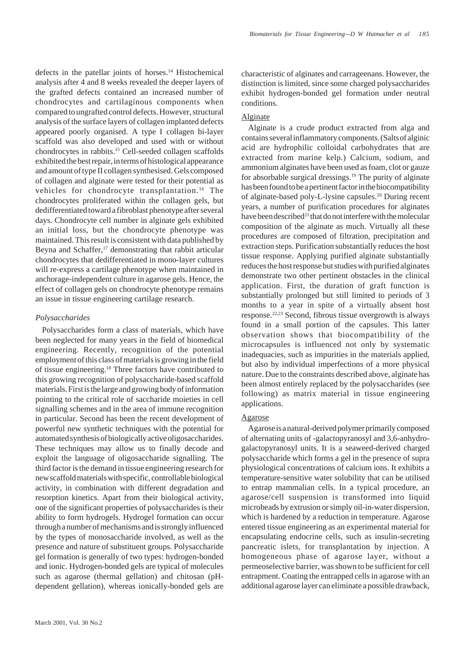defects in the patellar joints of horses.14 Histochemical analysis after 4 and 8 weeks revealed the deeper layers of the grafted defects contained an increased number of chondrocytes and cartilaginous components when compared to ungrafted control defects. However, structural analysis of the surface layers of collagen implanted defects appeared poorly organised. A type I collagen bi-layer scaffold was also developed and used with or without chondrocytes in rabbits.15 Cell-seeded collagen scaffolds exhibited the best repair, in terms of histological appearance and amount of type II collagen synthesised. Gels composed of collagen and alginate were tested for their potential as vehicles for chondrocyte transplantation.<sup>16</sup> The chondrocytes proliferated within the collagen gels, but dedifferentiated toward a fibroblast phenotype after several days. Chondrocyte cell number in alginate gels exhibited an initial loss, but the chondrocyte phenotype was maintained. This result is consistent with data published by Beyna and Schaffer,<sup>17</sup> demonstrating that rabbit articular chondrocytes that dedifferentiated in mono-layer cultures will re-express a cartilage phenotype when maintained in anchorage-independent culture in agarose gels. Hence, the effect of collagen gels on chondrocyte phenotype remains an issue in tissue engineering cartilage research.

# *Polysaccharides*

Polysaccharides form a class of materials, which have been neglected for many years in the field of biomedical engineering. Recently, recognition of the potential employment of this class of materials is growing in the field of tissue engineering.18 Three factors have contributed to this growing recognition of polysaccharide-based scaffold materials. First is the large and growing body of information pointing to the critical role of saccharide moieties in cell signalling schemes and in the area of immune recognition in particular. Second has been the recent development of powerful new synthetic techniques with the potential for automated synthesis of biologically active oligosaccharides. These techniques may allow us to finally decode and exploit the language of oligosaccharide signalling. The third factor is the demand in tissue engineering research for new scaffold materials with specific, controllable biological activity, in combination with different degradation and resorption kinetics. Apart from their biological activity, one of the significant properties of polysaccharides is their ability to form hydrogels. Hydrogel formation can occur through a number of mechanisms and is strongly influenced by the types of monosaccharide involved, as well as the presence and nature of substituent groups. Polysaccharide gel formation is generally of two types: hydrogen-bonded and ionic. Hydrogen-bonded gels are typical of molecules such as agarose (thermal gellation) and chitosan (pHdependent gellation), whereas ionically-bonded gels are characteristic of alginates and carrageenans. However, the distinction is limited, since some charged polysaccharides exhibit hydrogen-bonded gel formation under neutral conditions.

# Alginate

Alginate is a crude product extracted from alga and contains several inflammatory components. (Salts of alginic acid are hydrophilic colloidal carbohydrates that are extracted from marine kelp.) Calcium, sodium, and ammonium alginates have been used as foam, clot or gauze for absorbable surgical dressings.<sup>19</sup> The purity of alginate has been found to be a pertinent factor in the biocompatibility of alginate-based poly-L-lysine capsules.<sup>20</sup> During recent years, a number of purification procedures for alginates have been described<sup>21</sup> that do not interfere with the molecular composition of the alginate as much. Virtually all these procedures are composed of filtration, precipitation and extraction steps. Purification substantially reduces the host tissue response. Applying purified alginate substantially reduces the host response but studies with purified alginates demonstrate two other pertinent obstacles in the clinical application. First, the duration of graft function is substantially prolonged but still limited to periods of 3 months to a year in spite of a virtually absent host response.22,23 Second, fibrous tissue overgrowth is always found in a small portion of the capsules. This latter observation shows that biocompatibility of the microcapsules is influenced not only by systematic inadequacies, such as impurities in the materials applied, but also by individual imperfections of a more physical nature. Due to the constraints described above, alginate has been almost entirely replaced by the polysaccharides (see following) as matrix material in tissue engineering applications.

### Agarose

Agarose is a natural-derived polymer primarily composed of alternating units of -galactopyranosyl and 3,6-anhydrogalactopyranosyl units. It is a seaweed-derived charged polysaccharide which forms a gel in the presence of supra physiological concentrations of calcium ions. It exhibits a temperature-sensitive water solubility that can be utilised to entrap mammalian cells. In a typical procedure, an agarose/cell suspension is transformed into liquid microbeads by extrusion or simply oil-in-water dispersion, which is hardened by a reduction in temperature. Agarose entered tissue engineering as an experimental material for encapsulating endocrine cells, such as insulin-secreting pancreatic islets, for transplantation by injection. A homogeneous phase of agarose layer, without a permeoselective barrier, was shown to be sufficient for cell entrapment. Coating the entrapped cells in agarose with an additional agarose layer can eliminate a possible drawback,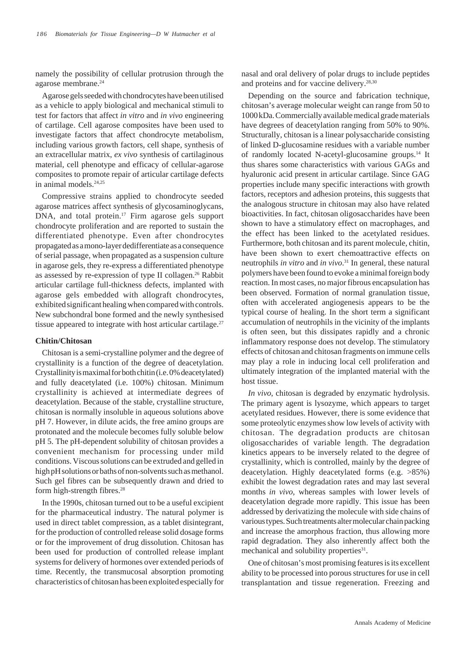namely the possibility of cellular protrusion through the agarose membrane.24

Agarose gels seeded with chondrocytes have been utilised as a vehicle to apply biological and mechanical stimuli to test for factors that affect *in vitro* and *in vivo* engineering of cartilage. Cell agarose composites have been used to investigate factors that affect chondrocyte metabolism, including various growth factors, cell shape, synthesis of an extracellular matrix, *ex vivo* synthesis of cartilaginous material, cell phenotype and efficacy of cellular-agarose composites to promote repair of articular cartilage defects in animal models.<sup>24,25</sup>

Compressive strains applied to chondrocyte seeded agarose matrices affect synthesis of glycosaminoglycans, DNA, and total protein.<sup>17</sup> Firm agarose gels support chondrocyte proliferation and are reported to sustain the differentiated phenotype. Even after chondrocytes propagated as a mono-layer dedifferentiate as a consequence of serial passage, when propagated as a suspension culture in agarose gels, they re-express a differentiated phenotype as assessed by re-expression of type II collagen.<sup>26</sup> Rabbit articular cartilage full-thickness defects, implanted with agarose gels embedded with allograft chondrocytes, exhibited significant healing when compared with controls. New subchondral bone formed and the newly synthesised tissue appeared to integrate with host articular cartilage.<sup>27</sup>

### **Chitin/Chitosan**

Chitosan is a semi-crystalline polymer and the degree of crystallinity is a function of the degree of deacetylation. Crystallinity is maximal for both chitin (i.e. 0% deacetylated) and fully deacetylated (i.e. 100%) chitosan. Minimum crystallinity is achieved at intermediate degrees of deacetylation. Because of the stable, crystalline structure, chitosan is normally insoluble in aqueous solutions above pH 7. However, in dilute acids, the free amino groups are protonated and the molecule becomes fully soluble below pH 5. The pH-dependent solubility of chitosan provides a convenient mechanism for processing under mild conditions. Viscous solutions can be extruded and gelled in high pH solutions or baths of non-solvents such as methanol. Such gel fibres can be subsequently drawn and dried to form high-strength fibres.<sup>28</sup>

In the 1990s, chitosan turned out to be a useful excipient for the pharmaceutical industry. The natural polymer is used in direct tablet compression, as a tablet disintegrant, for the production of controlled release solid dosage forms or for the improvement of drug dissolution. Chitosan has been used for production of controlled release implant systems for delivery of hormones over extended periods of time. Recently, the transmucosal absorption promoting characteristics of chitosan has been exploited especially for nasal and oral delivery of polar drugs to include peptides and proteins and for vaccine delivery.28,30

Depending on the source and fabrication technique, chitosan's average molecular weight can range from 50 to 1000 kDa. Commercially available medical grade materials have degrees of deacetylation ranging from 50% to 90%. Structurally, chitosan is a linear polysaccharide consisting of linked D-glucosamine residues with a variable number of randomly located N-acetyl-glucosamine groups.14 It thus shares some characteristics with various GAGs and hyaluronic acid present in articular cartilage. Since GAG properties include many specific interactions with growth factors, receptors and adhesion proteins, this suggests that the analogous structure in chitosan may also have related bioactivities. In fact, chitosan oligosaccharides have been shown to have a stimulatory effect on macrophages, and the effect has been linked to the acetylated residues. Furthermore, both chitosan and its parent molecule, chitin, have been shown to exert chemoattractive effects on neutrophils *in vitro* and *in vivo*. 31 In general, these natural polymers have been found to evoke a minimal foreign body reaction. In most cases, no major fibrous encapsulation has been observed. Formation of normal granulation tissue, often with accelerated angiogenesis appears to be the typical course of healing. In the short term a significant accumulation of neutrophils in the vicinity of the implants is often seen, but this dissipates rapidly and a chronic inflammatory response does not develop. The stimulatory effects of chitosan and chitosan fragments on immune cells may play a role in inducing local cell proliferation and ultimately integration of the implanted material with the host tissue.

*In vivo*, chitosan is degraded by enzymatic hydrolysis. The primary agent is lysozyme, which appears to target acetylated residues. However, there is some evidence that some proteolytic enzymes show low levels of activity with chitosan. The degradation products are chitosan oligosaccharides of variable length. The degradation kinetics appears to be inversely related to the degree of crystallinity, which is controlled, mainly by the degree of deacetylation. Highly deacetylated forms (e.g. >85%) exhibit the lowest degradation rates and may last several months *in vivo*, whereas samples with lower levels of deacetylation degrade more rapidly. This issue has been addressed by derivatizing the molecule with side chains of various types. Such treatments alter molecular chain packing and increase the amorphous fraction, thus allowing more rapid degradation. They also inherently affect both the mechanical and solubility properties<sup>31</sup>.

One of chitosan's most promising features is its excellent ability to be processed into porous structures for use in cell transplantation and tissue regeneration. Freezing and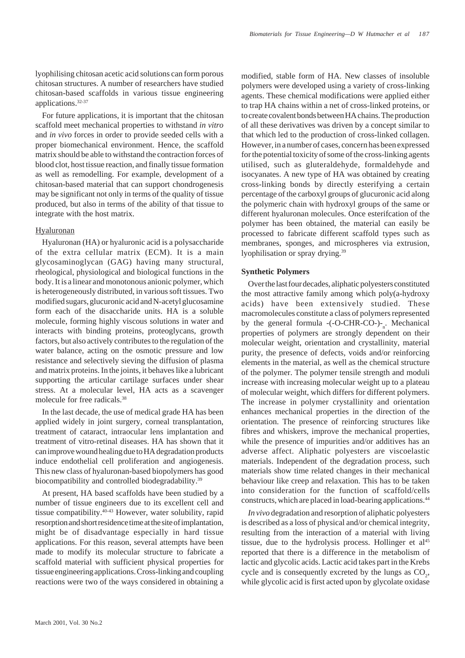lyophilising chitosan acetic acid solutions can form porous chitosan structures. A number of researchers have studied chitosan-based scaffolds in various tissue engineering applications.32-37

For future applications, it is important that the chitosan scaffold meet mechanical properties to withstand *in vitro* and *in vivo* forces in order to provide seeded cells with a proper biomechanical environment. Hence, the scaffold matrix should be able to withstand the contraction forces of blood clot, host tissue reaction, and finally tissue formation as well as remodelling. For example, development of a chitosan-based material that can support chondrogenesis may be significant not only in terms of the quality of tissue produced, but also in terms of the ability of that tissue to integrate with the host matrix.

### Hyaluronan

Hyaluronan (HA) or hyaluronic acid is a polysaccharide of the extra cellular matrix (ECM). It is a main glycosaminoglycan (GAG) having many structural, rheological, physiological and biological functions in the body. It is a linear and monotonous anionic polymer, which is heterogeneously distributed, in various soft tissues. Two modified sugars, glucuronic acid and N-acetyl glucosamine form each of the disaccharide units. HA is a soluble molecule, forming highly viscous solutions in water and interacts with binding proteins, proteoglycans, growth factors, but also actively contributes to the regulation of the water balance, acting on the osmotic pressure and low resistance and selectively sieving the diffusion of plasma and matrix proteins. In the joints, it behaves like a lubricant supporting the articular cartilage surfaces under shear stress. At a molecular level, HA acts as a scavenger molecule for free radicals <sup>38</sup>

In the last decade, the use of medical grade HA has been applied widely in joint surgery, corneal transplantation, treatment of cataract, intraocular lens implantation and treatment of vitro-retinal diseases. HA has shown that it can improve wound healing due to HA degradation products induce endothelial cell proliferation and angiogenesis. This new class of hyaluronan-based biopolymers has good biocompatibility and controlled biodegradability.<sup>39</sup>

At present, HA based scaffolds have been studied by a number of tissue engineers due to its excellent cell and tissue compatibility.40-43 However, water solubility, rapid resorption and short residence time at the site of implantation, might be of disadvantage especially in hard tissue applications. For this reason, several attempts have been made to modify its molecular structure to fabricate a scaffold material with sufficient physical properties for tissue engineering applications. Cross-linking and coupling reactions were two of the ways considered in obtaining a modified, stable form of HA. New classes of insoluble polymers were developed using a variety of cross-linking agents. These chemical modifications were applied either to trap HA chains within a net of cross-linked proteins, or to create covalent bonds between HA chains. The production of all these derivatives was driven by a concept similar to that which led to the production of cross-linked collagen. However, in a number of cases, concern has been expressed for the potential toxicity of some of the cross-linking agents utilised, such as gluteraldehyde, formaldehyde and isocyanates. A new type of HA was obtained by creating cross-linking bonds by directly esterifying a certain percentage of the carboxyl groups of glucuronic acid along the polymeric chain with hydroxyl groups of the same or different hyaluronan molecules. Once esterifcation of the polymer has been obtained, the material can easily be processed to fabricate different scaffold types such as membranes, sponges, and microspheres via extrusion, lyophilisation or spray drying.39

# **Synthetic Polymers**

Over the last four decades, aliphatic polyesters constituted the most attractive family among which poly(a-hydroxy acids) have been extensively studied. These macromolecules constitute a class of polymers represented by the general formula  $-(-O-CHR-CO)$ <sup>-</sup><sub>n</sub>. Mechanical properties of polymers are strongly dependent on their molecular weight, orientation and crystallinity, material purity, the presence of defects, voids and/or reinforcing elements in the material, as well as the chemical structure of the polymer. The polymer tensile strength and moduli increase with increasing molecular weight up to a plateau of molecular weight, which differs for different polymers. The increase in polymer crystallinity and orientation enhances mechanical properties in the direction of the orientation. The presence of reinforcing structures like fibres and whiskers, improve the mechanical properties, while the presence of impurities and/or additives has an adverse affect. Aliphatic polyesters are viscoelastic materials. Independent of the degradation process, such materials show time related changes in their mechanical behaviour like creep and relaxation. This has to be taken into consideration for the function of scaffold/cells constructs, which are placed in load-bearing applications.44

*In vivo* degradation and resorption of aliphatic polyesters is described as a loss of physical and/or chemical integrity, resulting from the interaction of a material with living tissue, due to the hydrolysis process. Hollinger et  $al<sup>45</sup>$ reported that there is a difference in the metabolism of lactic and glycolic acids. Lactic acid takes part in the Krebs cycle and is consequently excreted by the lungs as  $CO<sub>2</sub>$ , while glycolic acid is first acted upon by glycolate oxidase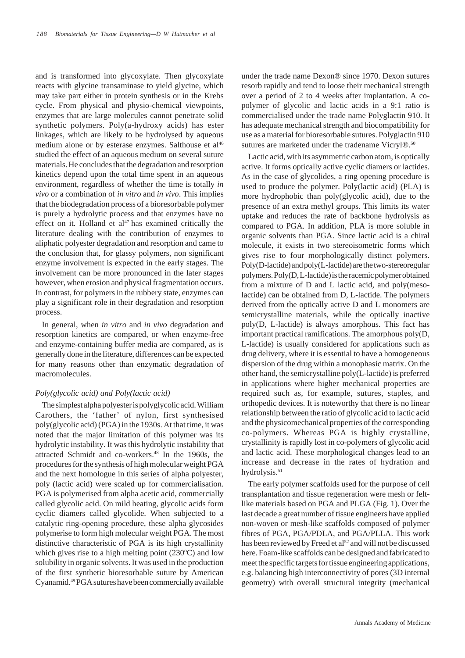and is transformed into glycoxylate. Then glycoxylate reacts with glycine transaminase to yield glycine, which may take part either in protein synthesis or in the Krebs cycle. From physical and physio-chemical viewpoints, enzymes that are large molecules cannot penetrate solid synthetic polymers. Poly(a-hydroxy acids) has ester linkages, which are likely to be hydrolysed by aqueous medium alone or by esterase enzymes. Salthouse et al<sup>46</sup> studied the effect of an aqueous medium on several suture materials. He concludes that the degradation and resorption kinetics depend upon the total time spent in an aqueous environment, regardless of whether the time is totally *in vivo* or a combination of *in vitro* and *in vivo*. This implies that the biodegradation process of a bioresorbable polymer is purely a hydrolytic process and that enzymes have no effect on it. Holland et  $al<sup>47</sup>$  has examined critically the literature dealing with the contribution of enzymes to aliphatic polyester degradation and resorption and came to the conclusion that, for glassy polymers, non significant enzyme involvement is expected in the early stages. The involvement can be more pronounced in the later stages however, when erosion and physical fragmentation occurs. In contrast, for polymers in the rubbery state, enzymes can play a significant role in their degradation and resorption process.

In general, when *in vitro* and *in vivo* degradation and resorption kinetics are compared, or when enzyme-free and enzyme-containing buffer media are compared, as is generally done in the literature, differences can be expected for many reasons other than enzymatic degradation of macromolecules.

### *Poly(glycolic acid) and Poly(lactic acid)*

The simplest alpha polyester is polyglycolic acid. William Carothers, the 'father' of nylon, first synthesised poly(glycolic acid) (PGA) in the 1930s. At that time, it was noted that the major limitation of this polymer was its hydrolytic instability. It was this hydrolytic instability that attracted Schmidt and co-workers.<sup>48</sup> In the 1960s, the procedures for the synthesis of high molecular weight PGA and the next homologue in this series of alpha polyester, poly (lactic acid) were scaled up for commercialisation. PGA is polymerised from alpha acetic acid, commercially called glycolic acid. On mild heating, glycolic acids form cyclic diamers called glycolide. When subjected to a catalytic ring-opening procedure, these alpha glycosides polymerise to form high molecular weight PGA. The most distinctive characteristic of PGA is its high crystallinity which gives rise to a high melting point (230ºC) and low solubility in organic solvents. It was used in the production of the first synthetic bioresorbable suture by American Cyanamid.49 PGA sutures have been commercially available under the trade name Dexon® since 1970. Dexon sutures resorb rapidly and tend to loose their mechanical strength over a period of 2 to 4 weeks after implantation. A copolymer of glycolic and lactic acids in a 9:1 ratio is commercialised under the trade name Polyglactin 910. It has adequate mechanical strength and biocompatibility for use as a material for bioresorbable sutures. Polyglactin 910 sutures are marketed under the tradename Vicryl®.<sup>50</sup>

Lactic acid, with its asymmetric carbon atom, is optically active. It forms optically active cyclic diamers or lactides. As in the case of glycolides, a ring opening procedure is used to produce the polymer. Poly(lactic acid) (PLA) is more hydrophobic than poly(glycolic acid), due to the presence of an extra methyl groups. This limits its water uptake and reduces the rate of backbone hydrolysis as compared to PGA. In addition, PLA is more soluble in organic solvents than PGA. Since lactic acid is a chiral molecule, it exists in two stereoisometric forms which gives rise to four morphologically distinct polymers. Poly(D-lactide) and poly(L-lactide) are the two-stereoregular polymers. Poly(D, L-lactide) is the racemic polymer obtained from a mixture of D and L lactic acid, and poly(mesolactide) can be obtained from D, L-lactide. The polymers derived from the optically active D and L monomers are semicrystalline materials, while the optically inactive poly(D, L-lactide) is always amorphous. This fact has important practical ramifications. The amorphous poly(D, L-lactide) is usually considered for applications such as drug delivery, where it is essential to have a homogeneous dispersion of the drug within a monophasic matrix. On the other hand, the semicrystalline poly(L-lactide) is preferred in applications where higher mechanical properties are required such as, for example, sutures, staples, and orthopedic devices. It is noteworthy that there is no linear relationship between the ratio of glycolic acid to lactic acid and the physicomechanical properties of the corresponding co-polymers. Whereas PGA is highly crystalline, crystallinity is rapidly lost in co-polymers of glycolic acid and lactic acid. These morphological changes lead to an increase and decrease in the rates of hydration and hydrolysis.<sup>51</sup>

The early polymer scaffolds used for the purpose of cell transplantation and tissue regeneration were mesh or feltlike materials based on PGA and PLGA (Fig. 1). Over the last decade a great number of tissue engineers have applied non-woven or mesh-like scaffolds composed of polymer fibres of PGA, PGA/PDLA, and PGA/PLLA. This work has been reviewed by Freed et al<sup>52</sup> and will not be discussed here. Foam-like scaffolds can be designed and fabricated to meet the specific targets for tissue engineering applications, e.g. balancing high interconnectivity of pores (3D internal geometry) with overall structural integrity (mechanical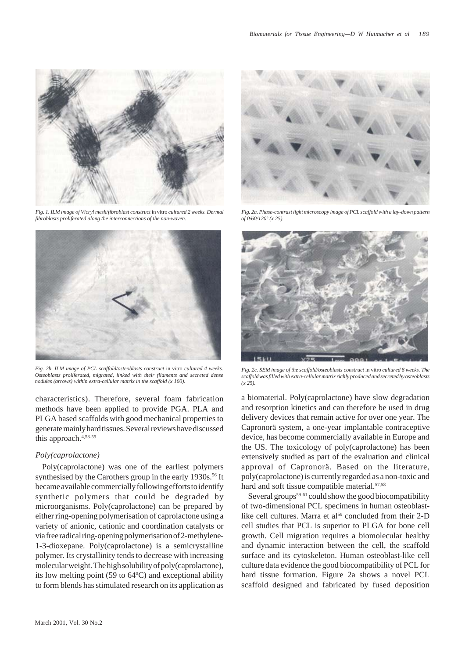

*Fig. 1. ILM image of Vicryl mesh/fibroblast construct* in vitro *cultured 2 weeks. Dermal fibroblasts proliferated along the interconnections of the non-woven.*



*Fig. 2b. ILM image of PCL scaffold/osteoblasts construct* in vitro *cultured 4 weeks. Osteoblasts proliferated, migrated, linked with their filaments and secreted dense nodules (arrows) within extra-cellular matrix in the scaffold (x 100).*

characteristics). Therefore, several foam fabrication methods have been applied to provide PGA. PLA and PLGA based scaffolds with good mechanical properties to generate mainly hard tissues. Several reviews have discussed this approach.4,53-55

#### *Poly(caprolactone)*

Poly(caprolactone) was one of the earliest polymers synthesised by the Carothers group in the early 1930s.<sup>56</sup> It became available commercially following efforts to identify synthetic polymers that could be degraded by microorganisms. Poly(caprolactone) can be prepared by either ring-opening polymerisation of caprolactone using a variety of anionic, cationic and coordination catalysts or via free radical ring-opening polymerisation of 2-methylene-1-3-dioxepane. Poly(caprolactone) is a semicrystalline polymer. Its crystallinity tends to decrease with increasing molecular weight. The high solubility of poly(caprolactone), its low melting point (59 to 64ºC) and exceptional ability to form blends has stimulated research on its application as



*Fig. 2a. Phase-contrast light microscopy image of PCL scaffold with a lay-down pattern of 0/60/120º (x 25).*



*Fig. 2c. SEM image of the scaffold/osteoblasts construct* in vitro *cultured 8 weeks. The scaffold was filled with extra-cellular matrix richly produced and secreted by osteoblasts (x 25).*

a biomaterial. Poly(caprolactone) have slow degradation and resorption kinetics and can therefore be used in drug delivery devices that remain active for over one year. The Capronorä system, a one-year implantable contraceptive device, has become commercially available in Europe and the US. The toxicology of poly(caprolactone) has been extensively studied as part of the evaluation and clinical approval of Capronorä. Based on the literature, poly(caprolactone) is currently regarded as a non-toxic and hard and soft tissue compatible material.<sup>57,58</sup>

Several groups<sup>59-61</sup> could show the good biocompatibility of two-dimensional PCL specimens in human osteoblastlike cell cultures. Marra et al<sup>59</sup> concluded from their 2-D cell studies that PCL is superior to PLGA for bone cell growth. Cell migration requires a biomolecular healthy and dynamic interaction between the cell, the scaffold surface and its cytoskeleton. Human osteoblast-like cell culture data evidence the good biocompatibility of PCL for hard tissue formation. Figure 2a shows a novel PCL scaffold designed and fabricated by fused deposition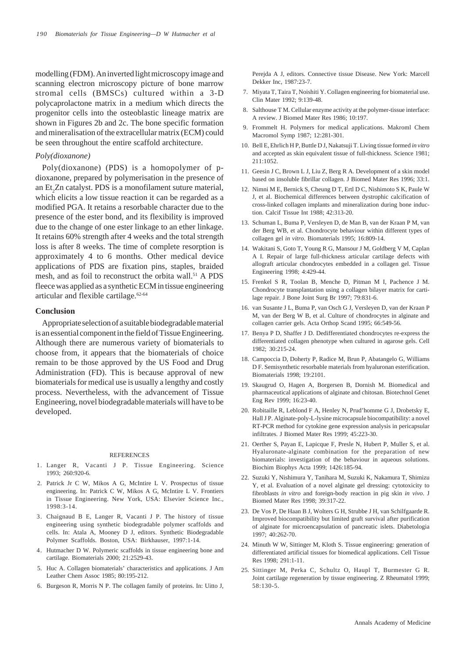modelling (FDM). An inverted light microscopy image and scanning electron microscopy picture of bone marrow stromal cells (BMSCs) cultured within a 3-D polycaprolactone matrix in a medium which directs the progenitor cells into the osteoblastic lineage matrix are shown in Figures 2b and 2c. The bone specific formation and mineralisation of the extracellular matrix (ECM) could be seen throughout the entire scaffold architecture.

### *Poly(dioxanone)*

Poly(dioxanone) (PDS) is a homopolymer of pdioxanone, prepared by polymerisation in the presence of an Et<sub>2</sub>Zn catalyst. PDS is a monofilament suture material, which elicits a low tissue reaction it can be regarded as a modified PGA. It retains a resorbable character due to the presence of the ester bond, and its flexibility is improved due to the change of one ester linkage to an ether linkage. It retains 60% strength after 4 weeks and the total strength loss is after 8 weeks. The time of complete resorption is approximately 4 to 6 months. Other medical device applications of PDS are fixation pins, staples, braided mesh, and as foil to reconstruct the orbita wall.<sup>51</sup> A PDS fleece was applied as a synthetic ECM in tissue engineering articular and flexible cartilage.62-64

### **Conclusion**

Appropriate selection of a suitable biodegradable material is an essential component in the field of Tissue Engineering. Although there are numerous variety of biomaterials to choose from, it appears that the biomaterials of choice remain to be those approved by the US Food and Drug Administration (FD). This is because approval of new biomaterials for medical use is usually a lengthy and costly process. Nevertheless, with the advancement of Tissue Engineering, novel biodegradable materials will have to be developed.

#### REFERENCES

- 1. Langer R, Vacanti J P. Tissue Engineering. Science 1993; 260:920-6.
- 2. Patrick Jr C W, Mikos A G, McIntire L V. Prospectus of tissue engineering. In: Patrick C W, Mikos A G, McIntire L V. Frontiers in Tissue Engineering. New York, USA: Elsevier Science Inc.,  $1998:3-14$ .
- 3. Chaignaud B E, Langer R, Vacanti J P. The history of tissue engineering using synthetic biodegradable polymer scaffolds and cells. In: Atala A, Mooney D J, editors. Synthetic Biodegradable Polymer Scaffolds. Boston, USA: Birkhauser, 1997:1-14.
- 4. Hutmacher D W. Polymeric scaffolds in tissue engineering bone and cartilage. Biomaterials 2000; 21:2529-43.
- 5. Huc A. Collagen biomaterials' characteristics and applications. J Am Leather Chem Assoc 1985; 80:195-212.
- 6. Burgeson R, Morris N P. The collagen family of proteins. In: Uitto J,

Perejda A J, editors. Connective tissue Disease. New York: Marcell Dekker Inc, 1987:23-7.

- 7. Miyata T, Taira T, Noishiti Y. Collagen engineering for biomaterial use. Clin Mater 1992; 9:139-48.
- 8. Salthouse T M. Cellular enzyme activity at the polymer-tissue interface: A review. J Biomed Mater Res 1986; 10:197.
- 9. Frommelt H. Polymers for medical applications. Makroml Chem Macromol Symp 1987; 12:281-301.
- 10. Bell E, Ehrlich H P, Buttle D J, Nakatsuji T. Living tissue formed *in vitro* and accepted as skin equivalent tissue of full-thickness. Science 1981; 211:1052.
- 11. Geesin J C, Brown L J, Liu Z, Berg R A. Development of a skin model based on insoluble fibrillar collagen. J Biomed Mater Res 1996; 33:1.
- 12. Nimni M E, Bernick S, Cheung D T, Ertl D C, Nishimoto S K, Paule W J, et al. Biochemical differences between dystrophic calcification of cross-linked collagen implants and mineralization during bone induction. Calcif Tissue Int 1988; 42:313-20.
- 13. Schuman L, Buma P, Versleyen D, de Man B, van der Kraan P M, van der Berg WB, et al. Chondrocyte behaviour within different types of collagen gel *in vitro*. Biomaterials 1995; 16:809-14.
- 14. Wakitani S, Goto T, Young R G, Mansour J M, Goldberg V M, Caplan A I. Repair of large full-thickness articular cartilage defects with allograft articular chondrocytes embedded in a collagen gel. Tissue Engineering 1998; 4:429-44.
- 15. Frenkel S R, Toolan B, Menche D, Pitman M I, Pachence J M. Chondrocyte transplantation using a collagen bilayer matrix for cartilage repair. J Bone Joint Surg Br 1997; 79:831-6.
- 16. van Susante J L, Buma P, van Osch G J, Versleyen D, van der Kraan P M, van der Berg W B, et al. Culture of chondrocytes in alginate and collagen carrier gels. Acta Orthop Scand 1995; 66:549-56.
- 17. Benya P D, Shaffer J D. Dedifferentiated chondrocytes re-express the differentiated collagen phenotype when cultured in agarose gels. Cell 1982; 30:215-24.
- 18. Campoccia D, Doherty P, Radice M, Brun P, Abatangelo G, Williams D F. Semisynthetic resorbable materials from hyaluronan esterification. Biomaterials 1998; 19:2101.
- 19. Skaugrud O, Hagen A, Borgersen B, Dornish M. Biomedical and pharmaceutical applications of alginate and chitosan. Biotechnol Genet Eng Rev 1999; 16:23-40.
- 20. Robitaille R, Leblond F A, Henley N, Prud'homme G J, Drobetsky E, Hall J P. Alginate-poly-L-lysine microcapsule biocompatibility: a novel RT-PCR method for cytokine gene expression analysis in pericapsular infiltrates. J Biomed Mater Res 1999; 45:223-30.
- 21. Oerther S, Payan E, Lapicque F, Presle N, Hubert P, Muller S, et al. Hyaluronate-alginate combination for the preparation of new biomaterials: investigation of the behaviour in aqueous solutions. Biochim Biophys Acta 1999; 1426:185-94.
- 22. Suzuki Y, Nishimura Y, Tanihara M, Suzuki K, Nakamura T, Shimizu Y, et al. Evaluation of a novel alginate gel dressing: cytotoxicity to fibroblasts *in vitro* and foreign-body reaction in pig skin *in vivo*. J Biomed Mater Res 1998; 39:317-22.
- 23. De Vos P, De Haan B J, Wolters G H, Strubbe J H, van Schilfgaarde R. Improved biocompatibility but limited graft survival after purification of alginate for microencapsulation of pancreatic islets. Diabetologia 1997; 40:262-70.
- 24. Minuth W W, Sittinger M, Kloth S. Tissue engineering: generation of differentiated artificial tissues for biomedical applications. Cell Tissue Res 1998; 291:1-11.
- 25. Sittinger M, Perka C, Schultz O, Haupl T, Burmester G R. Joint cartilage regeneration by tissue engineering. Z Rheumatol 1999; 58:130-5.